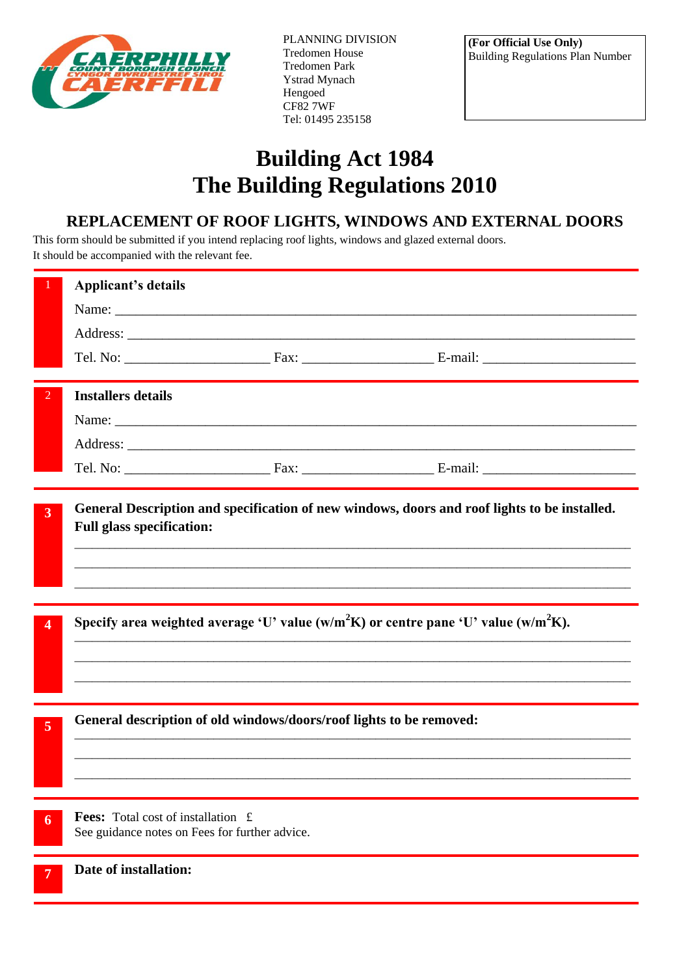

PLANNING DIVISION Tredomen House Tredomen Park Ystrad Mynach Hengoed CF82 7WF Tel: 01495 235158

## **Building Act 1984 The Building Regulations 2010**

## **REPLACEMENT OF ROOF LIGHTS, WINDOWS AND EXTERNAL DOORS**

This form should be submitted if you intend replacing roof lights, windows and glazed external doors. It should be accompanied with the relevant fee.

|                | <b>Applicant's details</b>                                                                                                       |  |  |
|----------------|----------------------------------------------------------------------------------------------------------------------------------|--|--|
|                |                                                                                                                                  |  |  |
|                |                                                                                                                                  |  |  |
|                |                                                                                                                                  |  |  |
| $\overline{2}$ | <b>Installers details</b>                                                                                                        |  |  |
|                |                                                                                                                                  |  |  |
|                |                                                                                                                                  |  |  |
|                |                                                                                                                                  |  |  |
| $\overline{3}$ | General Description and specification of new windows, doors and roof lights to be installed.<br><b>Full glass specification:</b> |  |  |
| 4              | Specify area weighted average 'U' value (w/m <sup>2</sup> K) or centre pane 'U' value (w/m <sup>2</sup> K).                      |  |  |
| $\overline{5}$ | General description of old windows/doors/roof lights to be removed:                                                              |  |  |
| 6              | <b>Fees:</b> Total cost of installation £<br>See guidance notes on Fees for further advice.                                      |  |  |
|                | Date of installation:                                                                                                            |  |  |